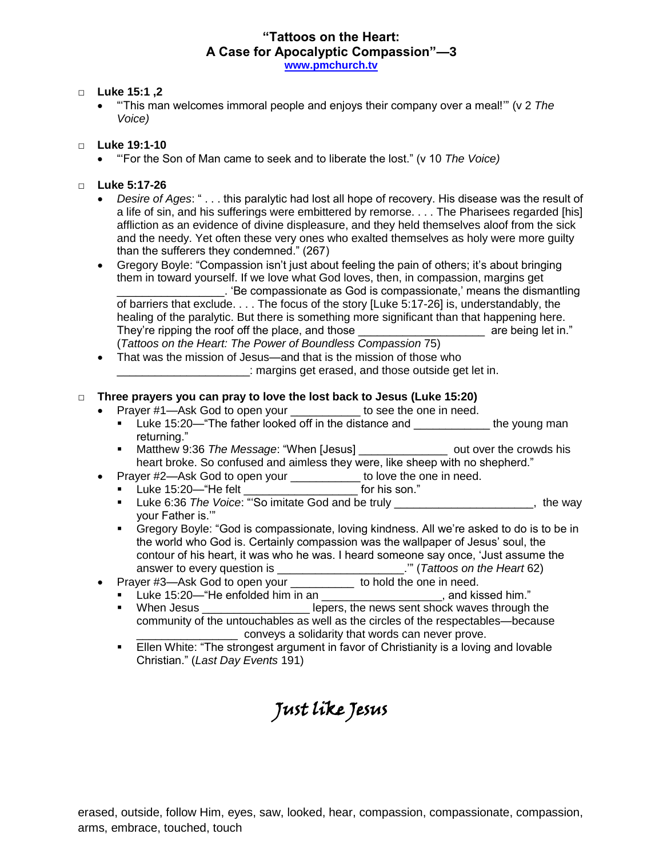# **"Tattoos on the Heart: A Case for Apocalyptic Compassion"—3 [www.pmchurch.tv](http://www.pmchurch.tv/)**

## □ **Luke 15:1 ,2**

 "'This man welcomes immoral people and enjoys their company over a meal!'" (v 2 *The Voice)*

#### □ **Luke 19:1-10**

"'For the Son of Man came to seek and to liberate the lost." (v 10 *The Voice)*

### □ **Luke 5:17-26**

 *Desire of Ages*: " . . . this paralytic had lost all hope of recovery. His disease was the result of a life of sin, and his sufferings were embittered by remorse. . . . The Pharisees regarded [his] affliction as an evidence of divine displeasure, and they held themselves aloof from the sick and the needy. Yet often these very ones who exalted themselves as holy were more guilty than the sufferers they condemned." (267)

 Gregory Boyle: "Compassion isn't just about feeling the pain of others; it's about bringing them in toward yourself. If we love what God loves, then, in compassion, margins get \_\_\_\_\_\_\_\_\_\_\_\_\_\_\_\_\_. 'Be compassionate as God is compassionate,' means the dismantling of barriers that exclude. . . . The focus of the story [Luke 5:17-26] is, understandably, the healing of the paralytic. But there is something more significant than that happening here. They're ripping the roof off the place, and those the same state of the place are being let in." (*Tattoos on the Heart: The Power of Boundless Compassion* 75)

• That was the mission of Jesus—and that is the mission of those who **EXECUTE:** margins get erased, and those outside get let in.

## □ **Three prayers you can pray to love the lost back to Jesus (Luke 15:20)**

- Prayer #1—Ask God to open your to see the one in need.
	- Luke 15:20— "The father looked off in the distance and the young man returning."
	- Matthew 9:36 *The Message*: "When [Jesus] \_\_\_\_\_\_\_\_\_\_\_\_\_\_ out over the crowds his heart broke. So confused and aimless they were, like sheep with no shepherd."
- Prayer #2—Ask God to open your \_\_\_\_\_\_\_\_\_\_\_ to love the one in need.
	- Luke 15:20—"He felt **the felt** for his son."
	- Luke 6:36 *The Voice*: "'So imitate God and be truly \_\_\_\_\_\_\_\_\_\_\_\_\_\_\_\_\_\_\_\_\_\_, the way your Father is.'"
	- Gregory Boyle: "God is compassionate, loving kindness. All we're asked to do is to be in the world who God is. Certainly compassion was the wallpaper of Jesus' soul, the contour of his heart, it was who he was. I heard someone say once, 'Just assume the answer to every question is \_\_\_\_\_\_\_\_\_\_\_\_\_\_\_\_\_\_\_\_.'" (*Tattoos on the Heart* 62)
- Prayer #3-Ask God to open your \_\_\_\_\_\_\_\_\_\_ to hold the one in need.
	- Luke 15:20—"He enfolded him in an \_\_\_\_\_\_\_\_\_\_\_\_\_\_\_\_\_\_\_\_, and kissed him."
	- When Jesus \_\_\_\_\_\_\_\_\_\_\_\_\_\_\_\_\_\_\_\_\_\_\_ lepers, the news sent shock waves through the community of the untouchables as well as the circles of the respectables—because \_\_\_\_\_\_\_\_\_\_\_\_\_\_\_\_ conveys a solidarity that words can never prove.
	- **Ellen White: "The strongest argument in favor of Christianity is a loving and lovable** Christian." (*Last Day Events* 191)

# Just like Jesus